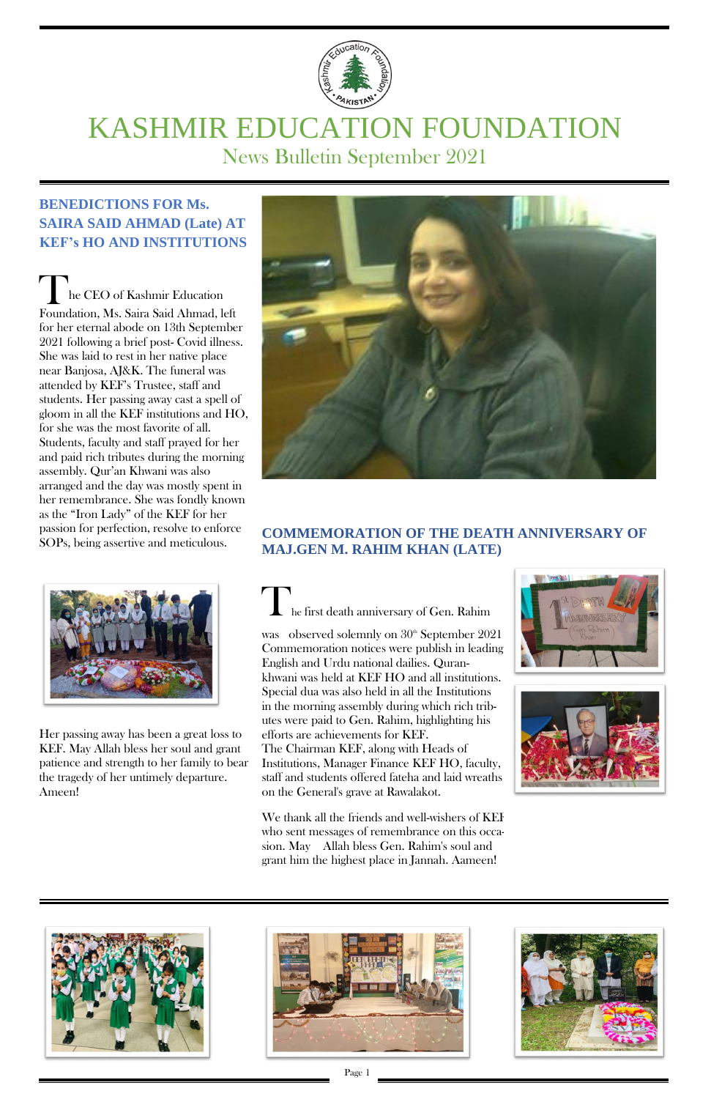

# KASHMIR EDUCATION FOUNDATION News Bulletin September 2021

## **BENEDICTIONS FOR Ms. SAIRA SAID AHMAD (Late) AT KEF's HO AND INSTITUTIONS**

The CEO of Kashmir Education Foundation, Ms. Saira Said Ahmad, left for her eternal abode on 13th September 2021 following a brief post- Covid illness. She was laid to rest in her native place near Banjosa, AJ&K. The funeral was attended by KEF's Trustee, staff and students. Her passing away cast a spell of gloom in all the KEF institutions and HO, for she was the most favorite of all. Students, faculty and staff prayed for her and paid rich tributes during the morning assembly. Qur'an Khwani was also arranged and the day was mostly spent in her remembrance. She was fondly known as the "Iron Lady" of the KEF for her passion for perfection, resolve to enforce SOPs, being assertive and meticulous.



was observed solemnly on  $30<sup>th</sup>$  September 2021 Commemoration notices were publish in leading English and Urdu national dailies. Qurankhwani was held at KEF HO and all institutions. Special dua was also held in all the Institutions in the morning assembly during which rich tributes were paid to Gen. Rahim, highlighting his efforts are achievements for KEF. The Chairman KEF, along with Heads of Institutions, Manager Finance KEF HO, faculty, staff and students offered fateha and laid wreaths on the General's grave at Rawalakot.





## **COMMEMORATION OF THE DEATH ANNIVERSARY OF MAJ.GEN M. RAHIM KHAN (LATE)**

## he first death anniversary of Gen. Rahim

We thank all the friends and well-wishers of KEF who sent messages of remembrance on this occasion. May Allah bless Gen. Rahim's soul and grant him the highest place in Jannah. Aameen!







Her passing away has been a great loss to KEF. May Allah bless her soul and grant patience and strength to her family to bear the tragedy of her untimely departure. Ameen!



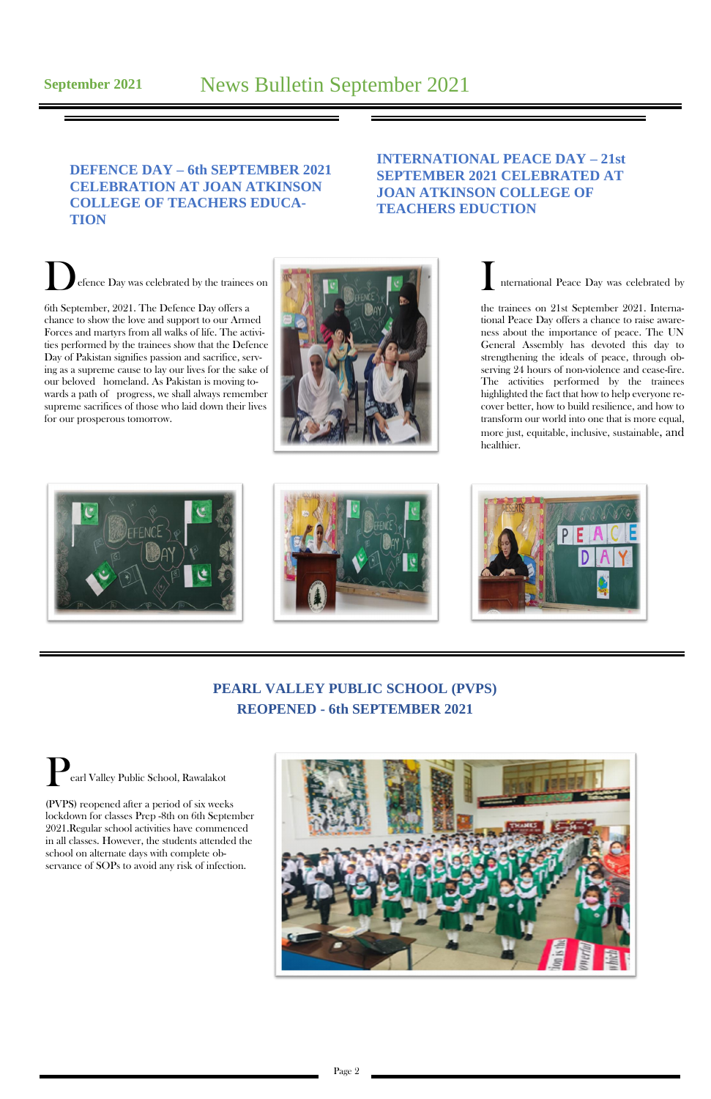## **DEFENCE DAY – 6th SEPTEMBER 2021 CELEBRATION AT JOAN ATKINSON COLLEGE OF TEACHERS EDUCA-TION**

### **INTERNATIONAL PEACE DAY – 21st SEPTEMBER 2021 CELEBRATED AT JOAN ATKINSON COLLEGE OF TEACHERS EDUCTION**

Defence Day was celebrated by the trainees on 6th September, 2021. The Defence Day offers a chance to show the love and support to our Armed Forces and martyrs from all walks of life. The activities performed by the trainees show that the Defence Day of Pakistan signifies passion and sacrifice, serving as a supreme cause to lay our lives for the sake of our beloved homeland. As Pakistan is moving towards a path of progress, we shall always remember supreme sacrifices of those who laid down their lives for our prosperous tomorrow.



nternational Peace Day was celebrated by

the trainees on 21st September 2021. International Peace Day offers a chance to raise awareness about the importance of peace. The UN General Assembly has devoted this day to strengthening the ideals of peace, through observing 24 hours of non-violence and cease-fire. The activities performed by the trainees highlighted the fact that how to help everyone recover better, how to build resilience, and how to transform our world into one that is more equal, more just, equitable, inclusive, sustainable, and healthier.







## **PEARL VALLEY PUBLIC SCHOOL (PVPS) REOPENED - 6th SEPTEMBER 2021**

Pearl Valley Public School, Rawalakot (PVPS) reopened after a period of six weeks



lockdown for classes Prep -8th on 6th September 2021.Regular school activities have commenced in all classes. However, the students attended the school on alternate days with complete observance of SOPs to avoid any risk of infection.